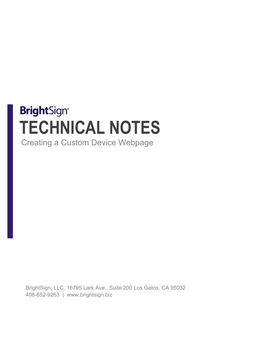## **BrightSign® TECHNICAL NOTES**

Creating a Custom Device Webpage

BrightSign, LLC. 16795 Lark Ave., Suite 200 Los Gatos, CA 95032 408-852-9263 | www.brightsign.biz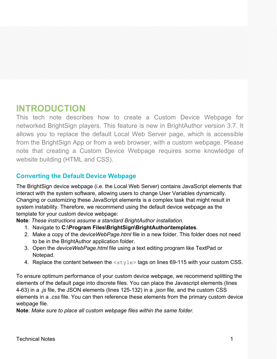## **INTRODUCTION**

This tech note describes how to create a Custom Device Webpage for networked BrightSign players. This feature is new in BrightAuthor version 3.7. It allows you to replace the default Local Web Server page, which is accessible from the BrightSign App or from a web browser, with a custom webpage. Please note that creating a Custom Device Webpage requires some knowledge of website building (HTML and CSS).

## **Converting the Default Device Webpage**

The BrightSign device webpage (i.e. the Local Web Server) contains JavaScript elements that interact with the system software, allowing users to change User Variables dynamically. Changing or customizing these JavaScript elements is a complex task that might result in system instability. Therefore, we recommend using the default device webpage as the template for your custom device webpage:

**Note**: *These instructions assume a standard BrightAuthor installation.*

- 1. Navigate to **C:\Program Files\BrightSign\BrightAuthor\templates**.
- 2. Make a copy of the *deviceWebPage.html* file in a new folder. This folder does not need to be in the BrightAuthor application folder.
- 3. Open the *deviceWebPage.html* file using a text editing program like TextPad or Notepad.
- 4. Replace the content between the <style> tags on lines 69-115 with your custom CSS.

To ensure optimum performance of your custom device webpage, we recommend splitting the elements of the default page into discrete files. You can place the Javascript elements (lines 4-63) in a *.js* file, the JSON elements (lines 125-132) in a *.json* file, and the custom CSS elements in a *.css* file. You can then reference these elements from the primary custom device webpage file.

**Note**: *Make sure to place all custom webpage files within the same folder.*